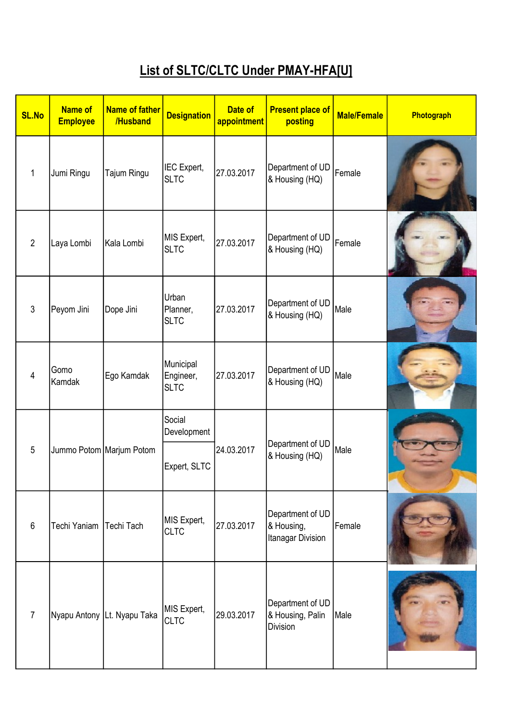## List of SLTC/CLTC Under PMAY-HFA[U]

| <b>SL.No</b>    | <b>Name of</b><br><b>Employee</b> | Name of father<br>/Husband  | <b>Designation</b>                    | Date of<br>appointment                           | <b>Present place of</b><br>posting                  | <b>Male/Female</b> | Photograph |
|-----------------|-----------------------------------|-----------------------------|---------------------------------------|--------------------------------------------------|-----------------------------------------------------|--------------------|------------|
| 1               | Jumi Ringu                        | Tajum Ringu                 | IEC Expert,<br><b>SLTC</b>            | 27.03.2017                                       | Department of UD<br>& Housing (HQ)                  | Female             |            |
| $\overline{2}$  | Laya Lombi                        | Kala Lombi                  | MIS Expert,<br><b>SLTC</b>            | 27.03.2017                                       | Department of UD<br>& Housing (HQ)                  | Female             |            |
| 3               | Peyom Jini                        | Dope Jini                   | Urban<br>Planner,<br><b>SLTC</b>      | 27.03.2017                                       | Department of UD<br>& Housing (HQ)                  | Male               |            |
| $\overline{4}$  | Gomo<br>Kamdak                    | Ego Kamdak                  | Municipal<br>Engineer,<br><b>SLTC</b> | 27.03.2017                                       | Department of UD<br>& Housing (HQ)                  | Male               |            |
|                 |                                   | Jummo Potom Marjum Potom    | Social<br>Development                 | Department of UD<br>24.03.2017<br>& Housing (HQ) |                                                     |                    |            |
| $5\phantom{.0}$ |                                   |                             | Expert, SLTC                          |                                                  | Male                                                |                    |            |
| $6\phantom{1}$  | Techi Yaniam                      | Techi Tach                  | MIS Expert,<br><b>CLTC</b>            | 27.03.2017                                       | Department of UD<br>& Housing,<br>Itanagar Division | Female             |            |
| $\overline{7}$  |                                   | Nyapu Antony Lt. Nyapu Taka | MIS Expert,<br><b>CLTC</b>            | 29.03.2017                                       | Department of UD<br>& Housing, Palin<br>Division    | Male               |            |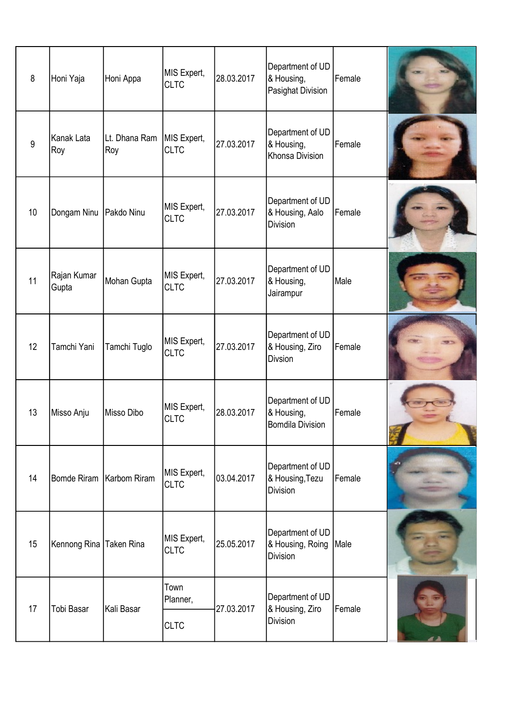| 8  | Honi Yaja               | Honi Appa                  | MIS Expert,<br><b>CLTC</b> | 28.03.2017 | Department of UD<br>& Housing,<br>Pasighat Division       | Female |  |
|----|-------------------------|----------------------------|----------------------------|------------|-----------------------------------------------------------|--------|--|
| 9  | Kanak Lata<br>Roy       | Lt. Dhana Ram<br>Roy       | MIS Expert,<br><b>CLTC</b> | 27.03.2017 | Department of UD<br>& Housing,<br>Khonsa Division         | Female |  |
| 10 | Dongam Ninu             | Pakdo Ninu                 | MIS Expert,<br><b>CLTC</b> | 27.03.2017 | Department of UD<br>& Housing, Aalo<br><b>Division</b>    | Female |  |
| 11 | Rajan Kumar<br>Gupta    | Mohan Gupta                | MIS Expert,<br><b>CLTC</b> | 27.03.2017 | Department of UD<br>& Housing,<br>Jairampur               | Male   |  |
| 12 | Tamchi Yani             | Tamchi Tuglo               | MIS Expert,<br><b>CLTC</b> | 27.03.2017 | Department of UD<br>& Housing, Ziro<br>Divsion            | Female |  |
| 13 | Misso Anju              | Misso Dibo                 | MIS Expert,<br><b>CLTC</b> | 28.03.2017 | Department of UD<br>& Housing,<br><b>Bomdila Division</b> | Female |  |
| 14 |                         | Bomde Riram   Karbom Riram | MIS Expert,<br><b>CLTC</b> | 03.04.2017 | Department of UD<br>& Housing, Tezu<br>Division           | Female |  |
| 15 | Kennong Rina Taken Rina |                            | MIS Expert,<br><b>CLTC</b> | 25.05.2017 | Department of UD<br>& Housing, Roing<br>Division          | Male   |  |
|    | Tobi Basar              | Kali Basar                 | Town<br>Planner,           | 27.03.2017 | Department of UD                                          | Female |  |
| 17 |                         |                            | <b>CLTC</b>                |            | & Housing, Ziro<br>Division                               |        |  |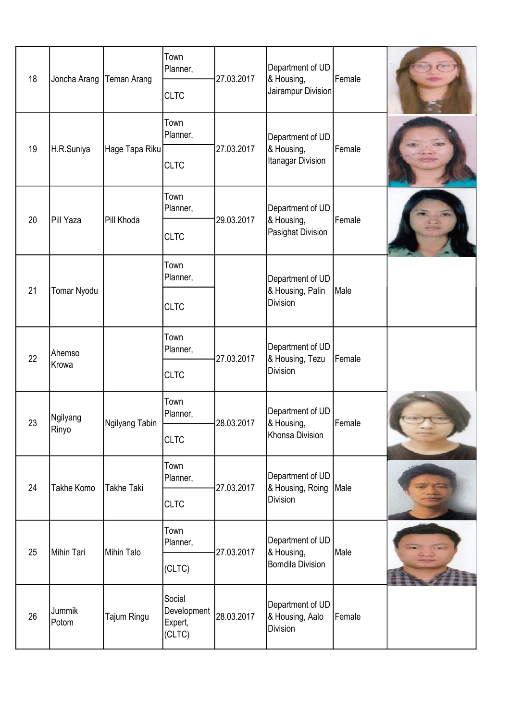| 18 | Joncha Arang      | Teman Arang       | Town<br>Planner,                           | 27.03.2017 | Department of UD<br>& Housing,                            | Female |  |
|----|-------------------|-------------------|--------------------------------------------|------------|-----------------------------------------------------------|--------|--|
|    |                   |                   | <b>CLTC</b>                                |            | Jairampur Division                                        |        |  |
| 19 | H.R.Suniya        |                   | Town<br>Planner,                           | 27.03.2017 | Department of UD                                          | Female |  |
|    |                   | Hage Tapa Riku    | <b>CLTC</b>                                |            | & Housing,<br>Itanagar Division                           |        |  |
| 20 | Pill Yaza         | Pill Khoda        | Town<br>Planner,                           | 29.03.2017 | Department of UD                                          | Female |  |
|    |                   |                   | <b>CLTC</b>                                |            | & Housing,<br>Pasighat Division                           |        |  |
|    |                   |                   | Town<br>Planner,                           |            | Department of UD                                          | Male   |  |
| 21 | Tomar Nyodu       |                   | <b>CLTC</b>                                |            | & Housing, Palin<br><b>Division</b>                       |        |  |
| 22 | Ahemso<br>Krowa   |                   | Town<br>Planner,                           | 27.03.2017 | Department of UD<br>& Housing, Tezu<br><b>Division</b>    | Female |  |
|    |                   |                   | <b>CLTC</b>                                |            |                                                           |        |  |
| 23 | Ngilyang          | Ngilyang Tabin    | Town<br>Planner,                           | 28.03.2017 | Department of UD<br>& Housing,                            | Female |  |
|    | <b>Rinyo</b>      |                   | <b>CLTC</b>                                |            | Khonsa Division                                           |        |  |
| 24 | Takhe Komo        | <b>Takhe Taki</b> | Town<br>Planner,                           | 27.03.2017 | Department of UD<br>& Housing, Roing<br>Division          | Male   |  |
|    |                   |                   | <b>CLTC</b>                                |            |                                                           |        |  |
| 25 | <b>Mihin Tari</b> | Mihin Talo        | Town<br>Planner,                           | 27.03.2017 | Department of UD<br>& Housing,<br><b>Bomdila Division</b> | Male   |  |
|    |                   |                   | (CLTC)                                     |            |                                                           |        |  |
| 26 | Jummik<br>Potom   | Tajum Ringu       | Social<br>Development<br>Expert,<br>(CLTC) | 28.03.2017 | Department of UD<br>& Housing, Aalo<br>Division           | Female |  |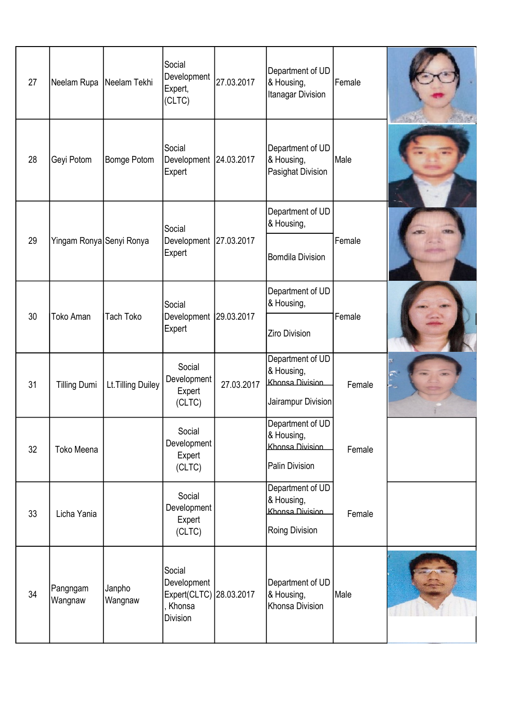| 27 | Neelam Rupa         | Neelam Tekhi             | Social<br>Development<br>Expert,<br>(CLTC)                             | 27.03.2017 | Department of UD<br>& Housing,<br>Itanagar Division                     | Female |  |
|----|---------------------|--------------------------|------------------------------------------------------------------------|------------|-------------------------------------------------------------------------|--------|--|
| 28 | Geyi Potom          | Bomge Potom              | Social<br>Development 24.03.2017<br>Expert                             |            | Department of UD<br>& Housing,<br>Pasighat Division                     | Male   |  |
|    |                     |                          | Social                                                                 |            | Department of UD<br>& Housing,                                          |        |  |
| 29 |                     | Yingam Ronya Senyi Ronya | Development 27.03.2017<br>Expert                                       |            | <b>Bomdila Division</b>                                                 | Female |  |
|    |                     | <b>Tach Toko</b>         | Social<br>Development 29.03.2017<br>Expert                             |            | Department of UD<br>& Housing,                                          |        |  |
| 30 | <b>Toko Aman</b>    |                          |                                                                        |            | <b>Ziro Division</b>                                                    | Female |  |
| 31 | <b>Tilling Dumi</b> | Lt. Tilling Duiley       | Social<br>Development<br>Expert<br>(CLTC)                              | 27.03.2017 | Department of UD<br>& Housing,<br>Khonsa Division<br>Jairampur Division | Female |  |
| 32 | Toko Meena          |                          | Social<br>Development<br>Expert<br>(CLTC)                              |            | Department of UD<br>& Housing,<br>Khonsa Division<br>Palin Division     | Female |  |
| 33 | Licha Yania         |                          | Social<br>Development<br>Expert<br>(CLTC)                              |            | Department of UD<br>& Housing,<br>Khonsa Division<br>Roing Division     | Female |  |
| 34 | Pangngam<br>Wangnaw | Janpho<br>Wangnaw        | Social<br>Development<br>Expert(CLTC) 28.03.2017<br>Khonsa<br>Division |            | Department of UD<br>& Housing,<br>Khonsa Division                       | Male   |  |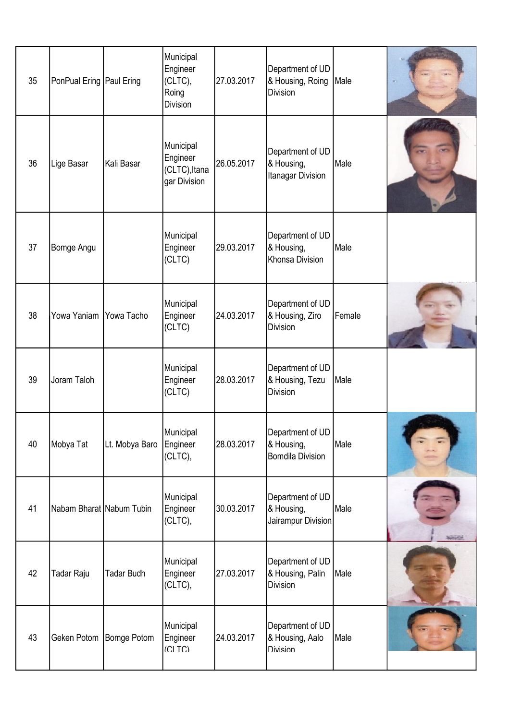| 35 | PonPual Ering   Paul Ering |                   | Municipal<br>Engineer<br>(CLTC),<br>Roing<br>Division  | 27.03.2017 | Department of UD<br>& Housing, Roing<br><b>Division</b>   | Male   |  |
|----|----------------------------|-------------------|--------------------------------------------------------|------------|-----------------------------------------------------------|--------|--|
| 36 | Lige Basar                 | Kali Basar        | Municipal<br>Engineer<br>(CLTC), Itana<br>gar Division | 26.05.2017 | Department of UD<br>& Housing,<br>Itanagar Division       | Male   |  |
| 37 | Bomge Angu                 |                   | Municipal<br>Engineer<br>(CLTC)                        | 29.03.2017 | Department of UD<br>& Housing,<br>Khonsa Division         | Male   |  |
| 38 | Yowa Yaniam                | Yowa Tacho        | Municipal<br>Engineer<br>(CLTC)                        | 24.03.2017 | Department of UD<br>& Housing, Ziro<br><b>Division</b>    | Female |  |
| 39 | Joram Taloh                |                   | Municipal<br>Engineer<br>(CLTC)                        | 28.03.2017 | Department of UD<br>& Housing, Tezu<br><b>Division</b>    | Male   |  |
| 40 | Mobya Tat                  | Lt. Mobya Baro    | Municipal<br>Engineer<br>(CLTC),                       | 28.03.2017 | Department of UD<br>& Housing,<br><b>Bomdila Division</b> | Male   |  |
| 41 | Nabam Bharat Nabum Tubin   |                   | Municipal<br>Engineer<br>(CLTC),                       | 30.03.2017 | Department of UD<br>& Housing,<br>Jairampur Division      | Male   |  |
| 42 | Tadar Raju                 | <b>Tadar Budh</b> | Municipal<br>Engineer<br>(CLTC),                       | 27.03.2017 | Department of UD<br>& Housing, Palin<br><b>Division</b>   | Male   |  |
| 43 | Geken Potom                | Bomge Potom       | Municipal<br>Engineer<br>(C TC)                        | 24.03.2017 | Department of UD<br>& Housing, Aalo<br><b>Division</b>    | Male   |  |